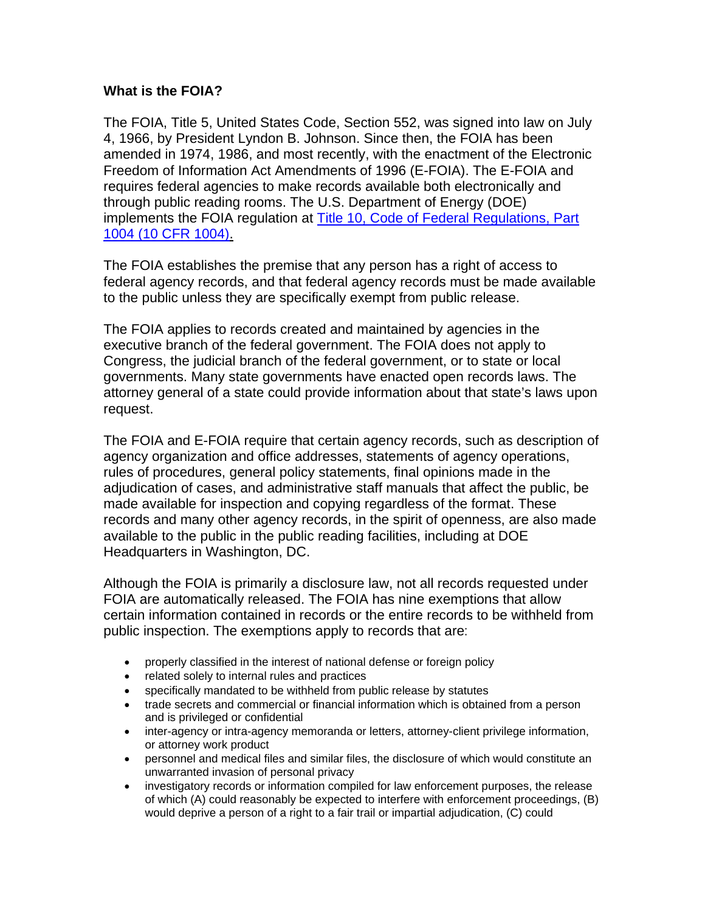## **What is the FOIA?**

The FOIA, Title 5, United States Code, Section 552, was signed into law on July 4, 1966, by President Lyndon B. Johnson. Since then, the FOIA has been amended in 1974, 1986, and most recently, with the enactment of the Electronic Freedom of Information Act Amendments of 1996 (E-FOIA). The E-FOIA and requires federal agencies to make records available both electronically and through public reading rooms. The U.S. Department of Energy (DOE) implements the FOIA regulation at **Title 10, Code of Federal Regulations**, Part [1004 \(10 CFR 1004\)](http://www.access.gpo.gov/nara/cfr/waisidx_06/10cfr1004_06.html).

The FOIA establishes the premise that any person has a right of access to federal agency records, and that federal agency records must be made available to the public unless they are specifically exempt from public release.

The FOIA applies to records created and maintained by agencies in the executive branch of the federal government. The FOIA does not apply to Congress, the judicial branch of the federal government, or to state or local governments. Many state governments have enacted open records laws. The attorney general of a state could provide information about that state's laws upon request.

The FOIA and E-FOIA require that certain agency records, such as description of agency organization and office addresses, statements of agency operations, rules of procedures, general policy statements, final opinions made in the adjudication of cases, and administrative staff manuals that affect the public, be made available for inspection and copying regardless of the format. These records and many other agency records, in the spirit of openness, are also made available to the public in the public reading facilities, including at DOE Headquarters in Washington, DC.

Although the FOIA is primarily a disclosure law, not all records requested under FOIA are automatically released. The FOIA has nine exemptions that allow certain information contained in records or the entire records to be withheld from public inspection. The exemptions apply to records that are:

- properly classified in the interest of national defense or foreign policy
- related solely to internal rules and practices
- specifically mandated to be withheld from public release by statutes
- trade secrets and commercial or financial information which is obtained from a person and is privileged or confidential
- inter-agency or intra-agency memoranda or letters, attorney-client privilege information, or attorney work product
- personnel and medical files and similar files, the disclosure of which would constitute an unwarranted invasion of personal privacy
- investigatory records or information compiled for law enforcement purposes, the release of which (A) could reasonably be expected to interfere with enforcement proceedings, (B) would deprive a person of a right to a fair trail or impartial adjudication, (C) could